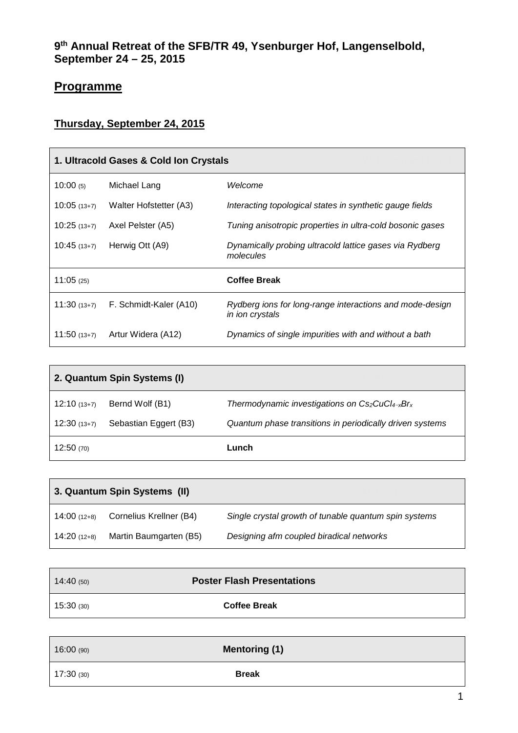## **Programme**

## **Thursday, September 24, 2015**

| 1. Ultracold Gases & Cold Ion Crystals |                        |                                                                             |
|----------------------------------------|------------------------|-----------------------------------------------------------------------------|
| 10:00(5)                               | Michael Lang           | Welcome                                                                     |
| $10:05(13+7)$                          | Walter Hofstetter (A3) | Interacting topological states in synthetic gauge fields                    |
| $10:25(13+7)$                          | Axel Pelster (A5)      | Tuning anisotropic properties in ultra-cold bosonic gases                   |
| $10:45(13+7)$                          | Herwig Ott (A9)        | Dynamically probing ultracold lattice gases via Rydberg<br>molecules        |
| 11:05(25)                              |                        | <b>Coffee Break</b>                                                         |
| $11:30(13+7)$                          | F. Schmidt-Kaler (A10) | Rydberg ions for long-range interactions and mode-design<br>in ion crystals |
| $11:50(13+7)$                          | Artur Widera (A12)     | Dynamics of single impurities with and without a bath                       |

| 2. Quantum Spin Systems (I) |                       |                                                          |
|-----------------------------|-----------------------|----------------------------------------------------------|
| $12:10(13+7)$               | Bernd Wolf (B1)       | Thermodynamic investigations on $Cs_2CuCl_{4-x}Br_{x}$   |
| $12:30(13+7)$               | Sebastian Eggert (B3) | Quantum phase transitions in periodically driven systems |
| 12:50(70)                   |                       | Lunch                                                    |

| 3. Quantum Spin Systems (II) |                         |                                                       |
|------------------------------|-------------------------|-------------------------------------------------------|
| $14:00(12+8)$                | Cornelius Krellner (B4) | Single crystal growth of tunable quantum spin systems |
| $14:20(12+8)$                | Martin Baumgarten (B5)  | Designing afm coupled biradical networks              |

| 14:40(50) | <b>Poster Flash Presentations</b> |  |
|-----------|-----------------------------------|--|
| 15:30(30) | <b>Coffee Break</b>               |  |
|           |                                   |  |
| 16:00(90) | <b>Mentoring (1)</b>              |  |
|           |                                   |  |

17:30 (30) **Break**

 $\overline{\phantom{0}}$